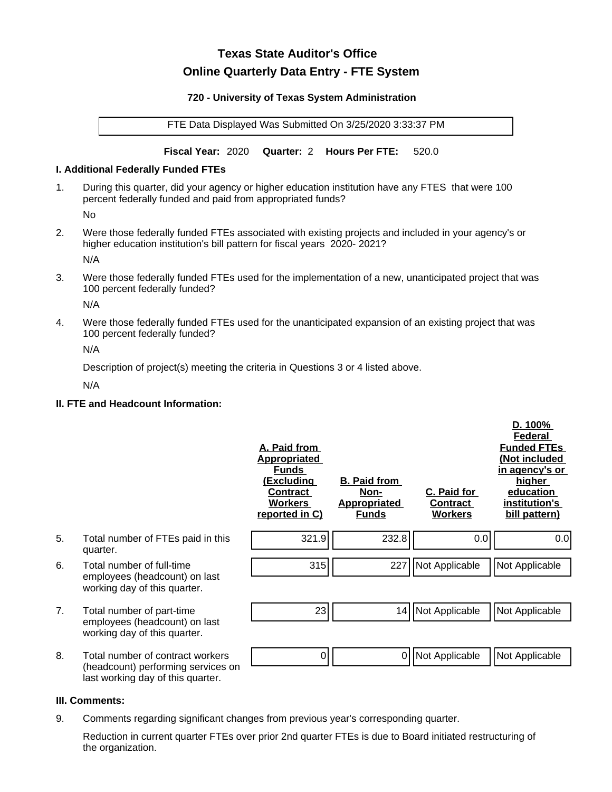# **Texas State Auditor's Office Online Quarterly Data Entry - FTE System**

#### **720 - University of Texas System Administration**

FTE Data Displayed Was Submitted On 3/25/2020 3:33:37 PM

**Fiscal Year:** 2020 **Quarter:** 2 **Hours Per FTE:** 520.0

#### **I. Additional Federally Funded FTEs**

1. During this quarter, did your agency or higher education institution have any FTES that were 100 percent federally funded and paid from appropriated funds?

No

2. Were those federally funded FTEs associated with existing projects and included in your agency's or higher education institution's bill pattern for fiscal years 2020- 2021?

N/A

3. Were those federally funded FTEs used for the implementation of a new, unanticipated project that was 100 percent federally funded?

N/A

4. Were those federally funded FTEs used for the unanticipated expansion of an existing project that was 100 percent federally funded?

N/A

Description of project(s) meeting the criteria in Questions 3 or 4 listed above.

N/A

### **II. FTE and Headcount Information:**

|    |                                                                                                             | A. Paid from<br><u>Appropriated</u><br><b>Funds</b><br><u>(Excluding</u><br><b>Contract</b><br><b>Workers</b><br>reported in C) | <b>B. Paid from</b><br>Non-<br><b>Appropriated</b><br><b>Funds</b> | C. Paid for<br>Contract<br><b>Workers</b> | D. 100%<br>Federal<br><b>Funded FTEs</b><br>(Not included<br>in agency's or<br>higher<br>education<br>institution's<br>bill pattern) |
|----|-------------------------------------------------------------------------------------------------------------|---------------------------------------------------------------------------------------------------------------------------------|--------------------------------------------------------------------|-------------------------------------------|--------------------------------------------------------------------------------------------------------------------------------------|
| 5. | Total number of FTEs paid in this<br>quarter.                                                               | 321.9                                                                                                                           | 232.8                                                              | 0.0                                       | 0.0                                                                                                                                  |
| 6. | Total number of full-time<br>employees (headcount) on last<br>working day of this quarter.                  | 315                                                                                                                             | 227                                                                | Not Applicable                            | Not Applicable                                                                                                                       |
| 7. | Total number of part-time<br>employees (headcount) on last<br>working day of this quarter.                  | 23                                                                                                                              | 14                                                                 | Not Applicable                            | Not Applicable                                                                                                                       |
| 8. | Total number of contract workers<br>(headcount) performing services on<br>last working day of this quarter. | 0                                                                                                                               | 0                                                                  | Not Applicable                            | Not Applicable                                                                                                                       |

# **III. Comments:**

9. Comments regarding significant changes from previous year's corresponding quarter.

Reduction in current quarter FTEs over prior 2nd quarter FTEs is due to Board initiated restructuring of the organization.